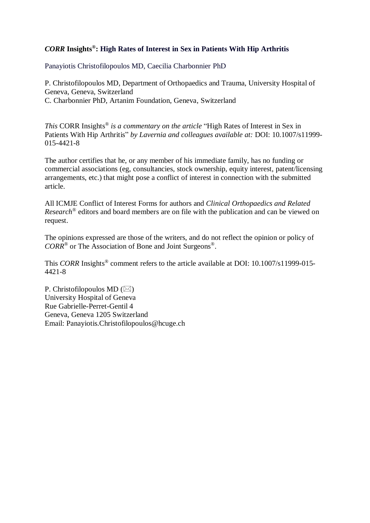# *CORR* **Insights® : High Rates of Interest in Sex in Patients With Hip Arthritis**

Panayiotis Christofilopoulos MD, Caecilia Charbonnier PhD

P. Christofilopoulos MD, Department of Orthopaedics and Trauma, University Hospital of Geneva, Geneva, Switzerland C. Charbonnier PhD, Artanim Foundation, Geneva, Switzerland

*This* CORR Insights® *is a commentary on the article* "High Rates of Interest in Sex in Patients With Hip Arthritis" *by Lavernia and colleagues available at:* DOI: 10.1007/s11999- 015-4421-8

The author certifies that he, or any member of his immediate family, has no funding or commercial associations (eg, consultancies, stock ownership, equity interest, patent/licensing arrangements, etc.) that might pose a conflict of interest in connection with the submitted article.

All ICMJE Conflict of Interest Forms for authors and *Clinical Orthopaedics and Related Research®* editors and board members are on file with the publication and can be viewed on request.

The opinions expressed are those of the writers, and do not reflect the opinion or policy of *CORR*® or The Association of Bone and Joint Surgeons*®* .

This *CORR* Insights<sup>®</sup> comment refers to the article available at DOI: 10.1007/s11999-015-4421-8

P. Christofilopoulos MD ( $\boxtimes$ ) University Hospital of Geneva Rue Gabrielle-Perret-Gentil 4 Geneva, Geneva 1205 Switzerland Email: Panayiotis.Christofilopoulos@hcuge.ch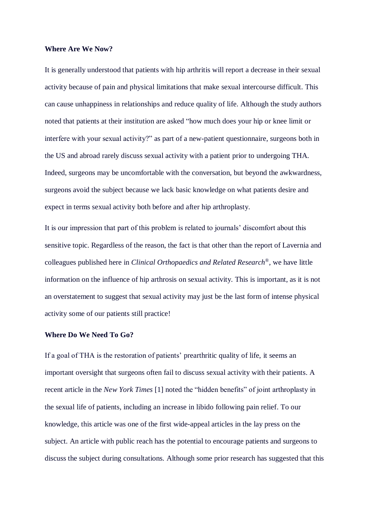#### **Where Are We Now?**

It is generally understood that patients with hip arthritis will report a decrease in their sexual activity because of pain and physical limitations that make sexual intercourse difficult. This can cause unhappiness in relationships and reduce quality of life. Although the study authors noted that patients at their institution are asked "how much does your hip or knee limit or interfere with your sexual activity?" as part of a new-patient questionnaire, surgeons both in the US and abroad rarely discuss sexual activity with a patient prior to undergoing THA. Indeed, surgeons may be uncomfortable with the conversation, but beyond the awkwardness, surgeons avoid the subject because we lack basic knowledge on what patients desire and expect in terms sexual activity both before and after hip arthroplasty.

It is our impression that part of this problem is related to journals' discomfort about this sensitive topic. Regardless of the reason, the fact is that other than the report of Lavernia and colleagues published here in *Clinical Orthopaedics and Related Research® ,* we have little information on the influence of hip arthrosis on sexual activity. This is important, as it is not an overstatement to suggest that sexual activity may just be the last form of intense physical activity some of our patients still practice!

#### **Where Do We Need To Go?**

If a goal of THA is the restoration of patients' prearthritic quality of life, it seems an important oversight that surgeons often fail to discuss sexual activity with their patients. A recent article in the *New York Times* [1] noted the "hidden benefits" of joint arthroplasty in the sexual life of patients, including an increase in libido following pain relief. To our knowledge, this article was one of the first wide-appeal articles in the lay press on the subject. An article with public reach has the potential to encourage patients and surgeons to discuss the subject during consultations. Although some prior research has suggested that this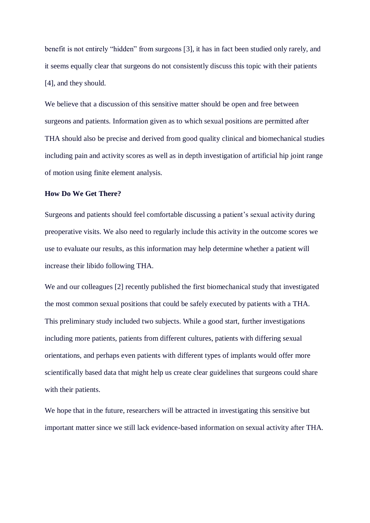benefit is not entirely "hidden" from surgeons [3], it has in fact been studied only rarely, and it seems equally clear that surgeons do not consistently discuss this topic with their patients [4], and they should.

We believe that a discussion of this sensitive matter should be open and free between surgeons and patients. Information given as to which sexual positions are permitted after THA should also be precise and derived from good quality clinical and biomechanical studies including pain and activity scores as well as in depth investigation of artificial hip joint range of motion using finite element analysis.

### **How Do We Get There?**

Surgeons and patients should feel comfortable discussing a patient's sexual activity during preoperative visits. We also need to regularly include this activity in the outcome scores we use to evaluate our results, as this information may help determine whether a patient will increase their libido following THA.

We and our colleagues [2] recently published the first biomechanical study that investigated the most common sexual positions that could be safely executed by patients with a THA. This preliminary study included two subjects. While a good start, further investigations including more patients, patients from different cultures, patients with differing sexual orientations, and perhaps even patients with different types of implants would offer more scientifically based data that might help us create clear guidelines that surgeons could share with their patients.

We hope that in the future, researchers will be attracted in investigating this sensitive but important matter since we still lack evidence-based information on sexual activity after THA.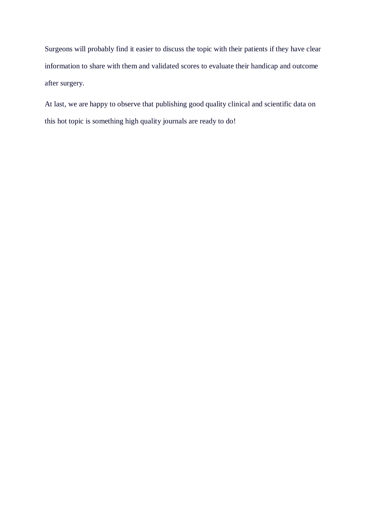Surgeons will probably find it easier to discuss the topic with their patients if they have clear information to share with them and validated scores to evaluate their handicap and outcome after surgery.

At last, we are happy to observe that publishing good quality clinical and scientific data on this hot topic is something high quality journals are ready to do!